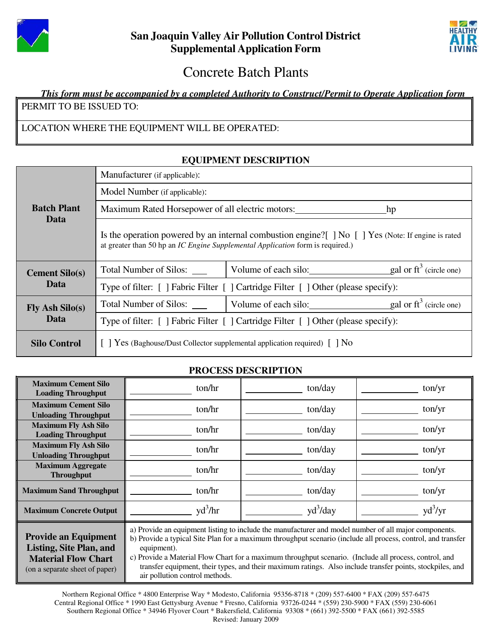



# Concrete Batch Plants

### *This form must be accompanied by a completed Authority to Construct/Permit to Operate Application form* PERMIT TO BE ISSUED TO:

## LOCATION WHERE THE EQUIPMENT WILL BE OPERATED:

## **Batch Plant Data** Manufacturer (if applicable): Model Number (if applicable): Maximum Rated Horsepower of all electric motors: hp Is the operation powered by an internal combustion engine?[ ] No [ ] Yes (Note: If engine is rated at greater than 50 hp an *IC Engine Supplemental Application* form is required.) **Cement Silo(s) Data** Total Number of Silos:  $\vert$  Volume of each silo: gal or ft<sup>3</sup> (circle one) Type of filter: [ ] Fabric Filter [ ] Cartridge Filter [ ] Other (please specify): **Fly Ash Silo(s) Data** Total Number of Silos:  $\begin{array}{c|c}\n\hline\n\end{array}$  Volume of each silo: gal or ft<sup>3</sup> (circle one) Type of filter: [ ] Fabric Filter [ ] Cartridge Filter [ ] Other (please specify): **Silo Control**  $\begin{bmatrix} \end{bmatrix}$  Yes (Baghouse/Dust Collector supplemental application required)  $\begin{bmatrix} \end{bmatrix}$  No

# **EQUIPMENT DESCRIPTION**

### **PROCESS DESCRIPTION**

| <b>Maximum Cement Silo</b><br><b>Loading Throughput</b>                                                                       | ton/hr                                                                                                                                                                                                                                                                                                                                                                                                                                                                                        | ton/day    | ton/yr    |
|-------------------------------------------------------------------------------------------------------------------------------|-----------------------------------------------------------------------------------------------------------------------------------------------------------------------------------------------------------------------------------------------------------------------------------------------------------------------------------------------------------------------------------------------------------------------------------------------------------------------------------------------|------------|-----------|
| <b>Maximum Cement Silo</b><br><b>Unloading Throughput</b>                                                                     | ton/hr                                                                                                                                                                                                                                                                                                                                                                                                                                                                                        | ton/day    | ton/yr    |
| <b>Maximum Fly Ash Silo</b><br><b>Loading Throughput</b>                                                                      | ton/hr                                                                                                                                                                                                                                                                                                                                                                                                                                                                                        | ton/day    | ton/yr    |
| <b>Maximum Fly Ash Silo</b><br><b>Unloading Throughput</b>                                                                    | ton/hr                                                                                                                                                                                                                                                                                                                                                                                                                                                                                        | ton/day    | ton/yr    |
| <b>Maximum Aggregate</b><br><b>Throughput</b>                                                                                 | ton/hr                                                                                                                                                                                                                                                                                                                                                                                                                                                                                        | ton/day    | ton/yr    |
| <b>Maximum Sand Throughput</b>                                                                                                | ton/hr                                                                                                                                                                                                                                                                                                                                                                                                                                                                                        | ton/day    | ton/yr    |
| <b>Maximum Concrete Output</b>                                                                                                | $\text{yd}^3/\text{hr}$                                                                                                                                                                                                                                                                                                                                                                                                                                                                       | $yd^3/day$ | $yd^3/yr$ |
| <b>Provide an Equipment</b><br><b>Listing, Site Plan, and</b><br><b>Material Flow Chart</b><br>(on a separate sheet of paper) | a) Provide an equipment listing to include the manufacturer and model number of all major components.<br>b) Provide a typical Site Plan for a maximum throughput scenario (include all process, control, and transfer<br>equipment).<br>c) Provide a Material Flow Chart for a maximum throughput scenario. (Include all process, control, and<br>transfer equipment, their types, and their maximum ratings. Also include transfer points, stockpiles, and<br>air pollution control methods. |            |           |

Northern Regional Office \* 4800 Enterprise Way \* Modesto, California 95356-8718 \* (209) 557-6400 \* FAX (209) 557-6475 Central Regional Office \* 1990 East Gettysburg Avenue \* Fresno, California 93726-0244 \* (559) 230-5900 \* FAX (559) 230-6061 Southern Regional Office \* 34946 Flyover Court \* Bakersfield, California 93308 \* (661) 392-5500 \* FAX (661) 392-5585 Revised: January 2009